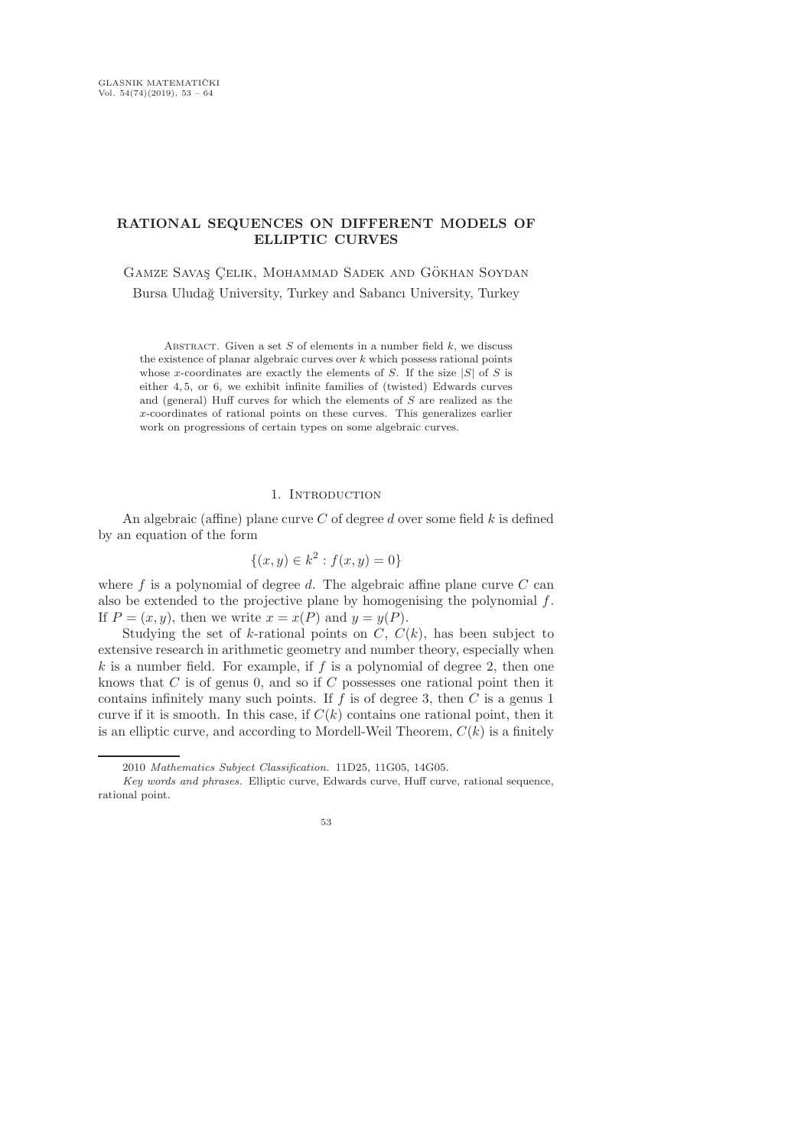# RATIONAL SEQUENCES ON DIFFERENT MODELS OF ELLIPTIC CURVES

GAMZE SAVAŞ ÇELIK, MOHAMMAD SADEK AND GÖKHAN SOYDAN Bursa Uludağ University, Turkey and Sabancı University, Turkey

ABSTRACT. Given a set  $S$  of elements in a number field  $k$ , we discuss the existence of planar algebraic curves over  $k$  which possess rational points whose x-coordinates are exactly the elements of S. If the size  $|S|$  of S is either 4, 5, or 6, we exhibit infinite families of (twisted) Edwards curves and (general) Huff curves for which the elements of S are realized as the x-coordinates of rational points on these curves. This generalizes earlier work on progressions of certain types on some algebraic curves.

### 1. INTRODUCTION

An algebraic (affine) plane curve  $C$  of degree  $d$  over some field  $k$  is defined by an equation of the form

$$
\{(x, y) \in k^2 : f(x, y) = 0\}
$$

where f is a polynomial of degree d. The algebraic affine plane curve  $C$  can also be extended to the projective plane by homogenising the polynomial  $f$ . If  $P = (x, y)$ , then we write  $x = x(P)$  and  $y = y(P)$ .

Studying the set of k-rational points on  $C, C(k)$ , has been subject to extensive research in arithmetic geometry and number theory, especially when  $k$  is a number field. For example, if  $f$  is a polynomial of degree 2, then one knows that  $C$  is of genus 0, and so if  $C$  possesses one rational point then it contains infinitely many such points. If  $f$  is of degree 3, then  $C$  is a genus 1 curve if it is smooth. In this case, if  $C(k)$  contains one rational point, then it is an elliptic curve, and according to Mordell-Weil Theorem,  $C(k)$  is a finitely

Key words and phrases. Elliptic curve, Edwards curve, Huff curve, rational sequence, rational point.



<sup>2010</sup> Mathematics Subject Classification. 11D25, 11G05, 14G05.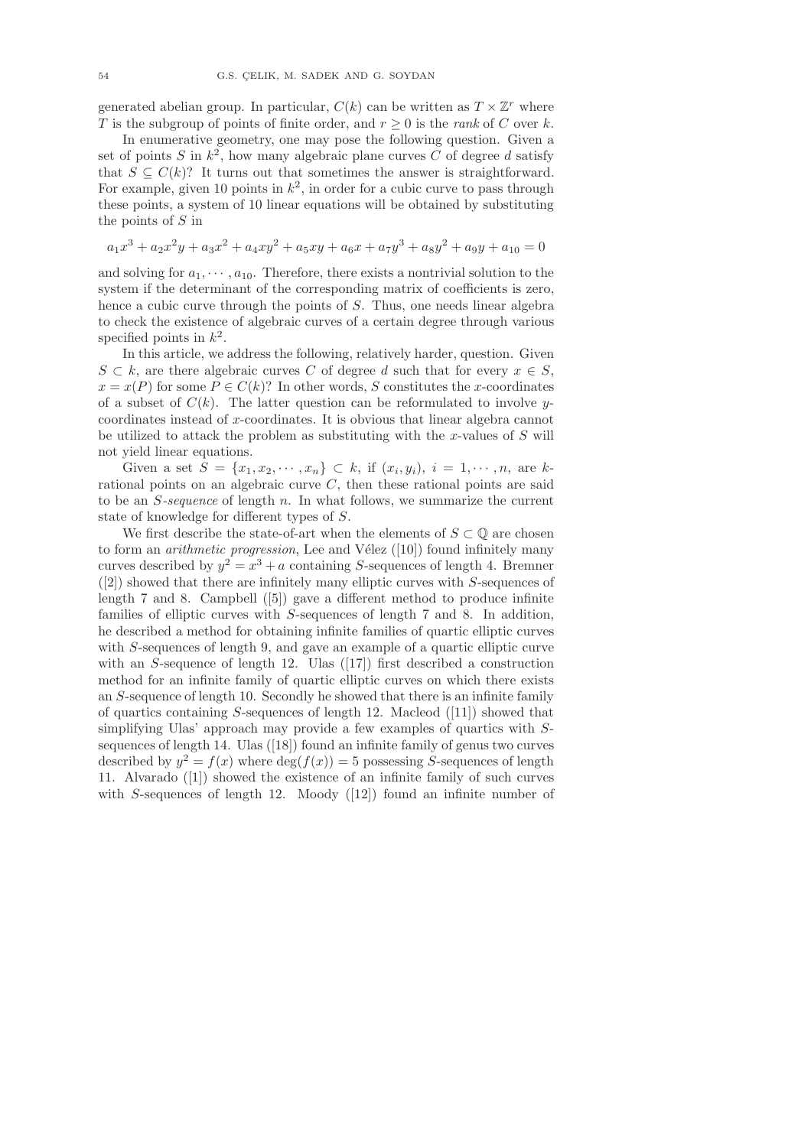generated abelian group. In particular,  $C(k)$  can be written as  $T \times \mathbb{Z}^r$  where T is the subgroup of points of finite order, and  $r \geq 0$  is the *rank* of C over k.

In enumerative geometry, one may pose the following question. Given a set of points  $S$  in  $k^2$ , how many algebraic plane curves  $C$  of degree  $d$  satisfy that  $S \subseteq C(k)$ ? It turns out that sometimes the answer is straightforward. For example, given 10 points in  $k^2$ , in order for a cubic curve to pass through these points, a system of 10 linear equations will be obtained by substituting the points of S in

$$
a_1x^3 + a_2x^2y + a_3x^2 + a_4xy^2 + a_5xy + a_6x + a_7y^3 + a_8y^2 + a_9y + a_{10} = 0
$$

and solving for  $a_1, \dots, a_{10}$ . Therefore, there exists a nontrivial solution to the system if the determinant of the corresponding matrix of coefficients is zero, hence a cubic curve through the points of S. Thus, one needs linear algebra to check the existence of algebraic curves of a certain degree through various specified points in  $k^2$ .

In this article, we address the following, relatively harder, question. Given  $S \subset k$ , are there algebraic curves C of degree d such that for every  $x \in S$ .  $x = x(P)$  for some  $P \in C(k)$ ? In other words, S constitutes the x-coordinates of a subset of  $C(k)$ . The latter question can be reformulated to involve ycoordinates instead of x-coordinates. It is obvious that linear algebra cannot be utilized to attack the problem as substituting with the x-values of  $S$  will not yield linear equations.

Given a set  $S = \{x_1, x_2, \dots, x_n\} \subset k$ , if  $(x_i, y_i)$ ,  $i = 1, \dots, n$ , are krational points on an algebraic curve  $C$ , then these rational points are said to be an S-sequence of length n. In what follows, we summarize the current state of knowledge for different types of S.

We first describe the state-of-art when the elements of  $S \subset \mathbb{Q}$  are chosen to form an *arithmetic progression*, Lee and Vélez  $([10])$  found infinitely many curves described by  $y^2 = x^3 + a$  containing S-sequences of length 4. Bremner ([2]) showed that there are infinitely many elliptic curves with S-sequences of length 7 and 8. Campbell ([5]) gave a different method to produce infinite families of elliptic curves with S-sequences of length 7 and 8. In addition, he described a method for obtaining infinite families of quartic elliptic curves with S-sequences of length 9, and gave an example of a quartic elliptic curve with an S-sequence of length 12. Ulas  $(17)$  first described a construction method for an infinite family of quartic elliptic curves on which there exists an S-sequence of length 10. Secondly he showed that there is an infinite family of quartics containing  $S$ -sequences of length 12. Macleod ([11]) showed that simplifying Ulas' approach may provide a few examples of quartics with Ssequences of length 14. Ulas ([18]) found an infinite family of genus two curves described by  $y^2 = f(x)$  where  $\deg(f(x)) = 5$  possessing *S*-sequences of length 11. Alvarado ([1]) showed the existence of an infinite family of such curves with S-sequences of length 12. Moody  $(12)$  found an infinite number of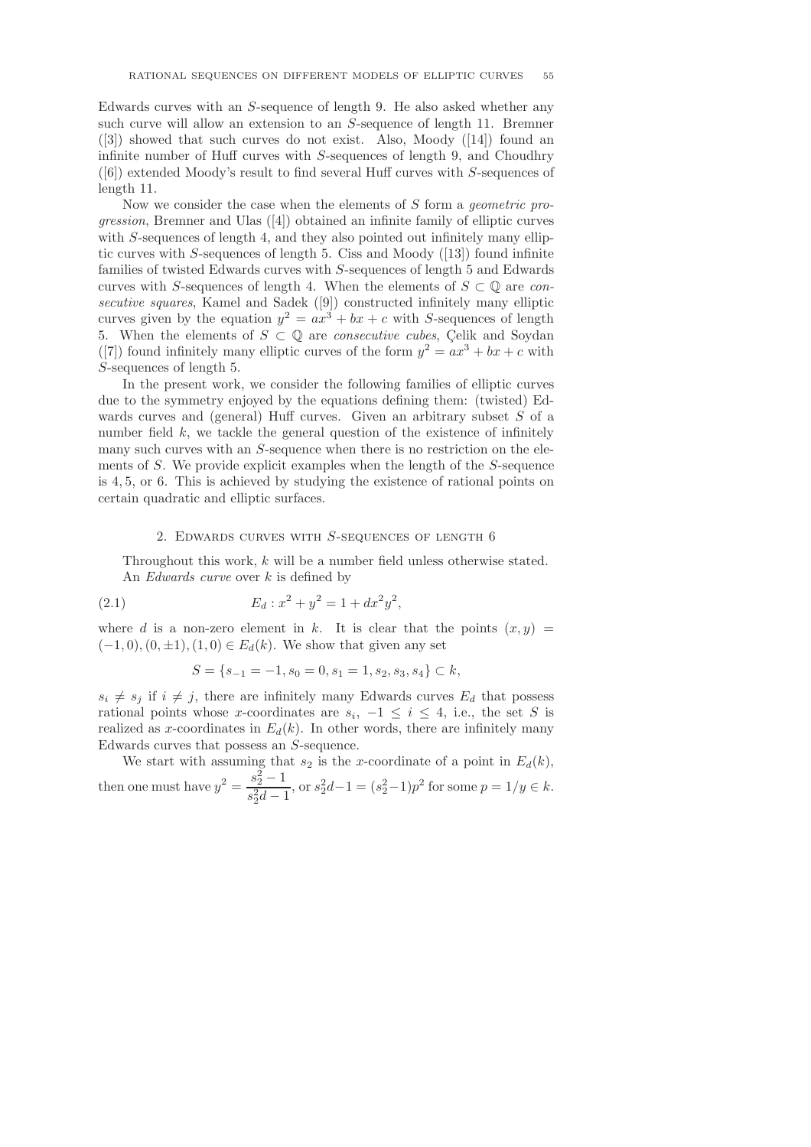Edwards curves with an S-sequence of length 9. He also asked whether any such curve will allow an extension to an S-sequence of length 11. Bremner ([3]) showed that such curves do not exist. Also, Moody ([14]) found an infinite number of Huff curves with S-sequences of length 9, and Choudhry ([6]) extended Moody's result to find several Huff curves with S-sequences of length 11.

Now we consider the case when the elements of S form a geometric progression, Bremner and Ulas ([4]) obtained an infinite family of elliptic curves with S-sequences of length 4, and they also pointed out infinitely many elliptic curves with S-sequences of length 5. Ciss and Moody  $(13)$  found infinite families of twisted Edwards curves with S-sequences of length 5 and Edwards curves with S-sequences of length 4. When the elements of  $S \subset \mathbb{Q}$  are consecutive squares, Kamel and Sadek ([9]) constructed infinitely many elliptic curves given by the equation  $y^2 = ax^3 + bx + c$  with S-sequences of length 5. When the elements of  $S \subset \mathbb{Q}$  are *consecutive cubes*, Celik and Soydan ([7]) found infinitely many elliptic curves of the form  $y^2 = ax^3 + bx + c$  with S-sequences of length 5.

In the present work, we consider the following families of elliptic curves due to the symmetry enjoyed by the equations defining them: (twisted) Edwards curves and (general) Huff curves. Given an arbitrary subset S of a number field  $k$ , we tackle the general question of the existence of infinitely many such curves with an S-sequence when there is no restriction on the elements of S. We provide explicit examples when the length of the S-sequence is 4, 5, or 6. This is achieved by studying the existence of rational points on certain quadratic and elliptic surfaces.

#### 2. EDWARDS CURVES WITH  $S$ -SEQUENCES OF LENGTH  $6$

Throughout this work, k will be a number field unless otherwise stated. An Edwards curve over k is defined by

(2.1) 
$$
E_d: x^2 + y^2 = 1 + dx^2y^2,
$$

where d is a non-zero element in k. It is clear that the points  $(x, y)$  $(-1, 0), (0, \pm 1), (1, 0) \in E_d(k)$ . We show that given any set

$$
S = \{s_{-1} = -1, s_0 = 0, s_1 = 1, s_2, s_3, s_4\} \subset k,
$$

 $s_i \neq s_j$  if  $i \neq j$ , there are infinitely many Edwards curves  $E_d$  that possess rational points whose x-coordinates are  $s_i$ ,  $-1 \leq i \leq 4$ , i.e., the set S is realized as x-coordinates in  $E_d(k)$ . In other words, there are infinitely many Edwards curves that possess an S-sequence.

We start with assuming that  $s_2$  is the x-coordinate of a point in  $E_d(k)$ , then one must have  $y^2 = \frac{s_2^2 - 1}{2}$  $\frac{s_2-1}{s_2^2d-1}$ , or  $s_2^2d-1 = (s_2^2-1)p^2$  for some  $p = 1/y \in k$ .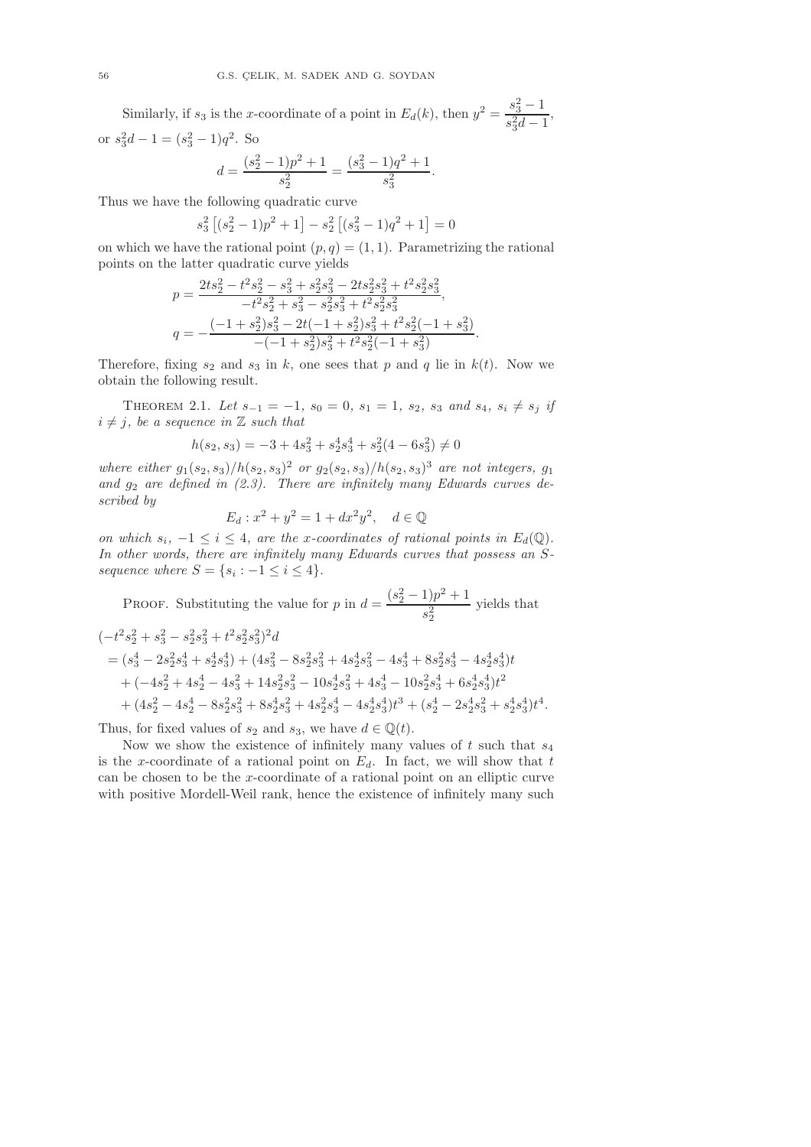Similarly, if  $s_3$  is the x-coordinate of a point in  $E_d(k)$ , then  $y^2 = \frac{s_3^2 - 1}{2}$  $\frac{c_3}{s_3^2d-1}$ , or  $s_3^2d - 1 = (s_3^2 - 1)q^2$ . So

$$
d = \frac{(s_2^2 - 1)p^2 + 1}{s_2^2} = \frac{(s_3^2 - 1)q^2 + 1}{s_3^2}.
$$

Thus we have the following quadratic curve

$$
s_3^2 [(s_2^2 - 1)p^2 + 1] - s_2^2 [(s_3^2 - 1)q^2 + 1] = 0
$$

on which we have the rational point  $(p, q) = (1, 1)$ . Parametrizing the rational points on the latter quadratic curve yields

$$
p = \frac{2ts_2^2 - t^2s_2^2 - s_3^2 + s_2^2s_3^2 - 2ts_2^2s_3^2 + t^2s_2^2s_3^2}{-t^2s_2^2 + s_3^2 - s_2^2s_3^2 + t^2s_2^2s_3^2},
$$
  
\n
$$
q = -\frac{(-1+s_2^2)s_3^2 - 2t(-1+s_2^2)s_3^2 + t^2s_2^2(-1+s_3^2)}{-(-1+s_2^2)s_3^2 + t^2s_2^2(-1+s_3^2)}.
$$

Therefore, fixing  $s_2$  and  $s_3$  in k, one sees that p and q lie in  $k(t)$ . Now we obtain the following result.

THEOREM 2.1. Let  $s_{-1} = -1$ ,  $s_0 = 0$ ,  $s_1 = 1$ ,  $s_2$ ,  $s_3$  and  $s_4$ ,  $s_i \neq s_j$  if  $i \neq j$ , be a sequence in  $\mathbb Z$  such that

$$
h(s_2, s_3) = -3 + 4s_3^2 + s_2^4s_3^4 + s_2^2(4 - 6s_3^2) \neq 0
$$

where either  $g_1(s_2, s_3)/h(s_2, s_3)^2$  or  $g_2(s_2, s_3)/h(s_2, s_3)^3$  are not integers,  $g_1$ and  $g_2$  are defined in  $(2.3)$ . There are infinitely many Edwards curves described by

$$
E_d: x^2 + y^2 = 1 + dx^2 y^2, \quad d \in \mathbb{Q}
$$

on which  $s_i$ ,  $-1 \leq i \leq 4$ , are the x-coordinates of rational points in  $E_d(\mathbb{Q})$ . In other words, there are infinitely many Edwards curves that possess an Ssequence where  $S = \{s_i : -1 \leq i \leq 4\}.$ 

PROOF. Substituting the value for p in  $d = \frac{(s_2^2 - 1)p^2 + 1}{2}$  $s_2^2$ yields that

$$
\begin{aligned} &(-t^2 s_2^2+s_3^2-s_2^2 s_3^2+t^2 s_2^2 s_3^2)^2 d \\ &=(s_3^4-2 s_2^2 s_3^4+s_2^4 s_3^4)+(4 s_3^2-8 s_2^2 s_3^2+4 s_2^4 s_3^2-4 s_3^4+8 s_2^2 s_3^4-4 s_2^4 s_3^4)t \\ &+(-4 s_2^2+4 s_2^4-4 s_3^2+14 s_2^2 s_3^2-10 s_2^4 s_3^2+4 s_3^4-10 s_2^2 s_3^4+6 s_2^4 s_3^4)t^2 \\ &+(4 s_2^2-4 s_2^4-8 s_2^2 s_3^2+8 s_2^4 s_3^2+4 s_2^2 s_3^4-4 s_2^4 s_3^4)t^3+(s_2^4-2 s_2^4 s_3^2+s_2^4 s_3^4)t^4. \end{aligned}
$$

Thus, for fixed values of  $s_2$  and  $s_3$ , we have  $d \in \mathbb{Q}(t)$ .

Now we show the existence of infinitely many values of  $t$  such that  $s_4$ is the x-coordinate of a rational point on  $E_d$ . In fact, we will show that t can be chosen to be the x-coordinate of a rational point on an elliptic curve with positive Mordell-Weil rank, hence the existence of infinitely many such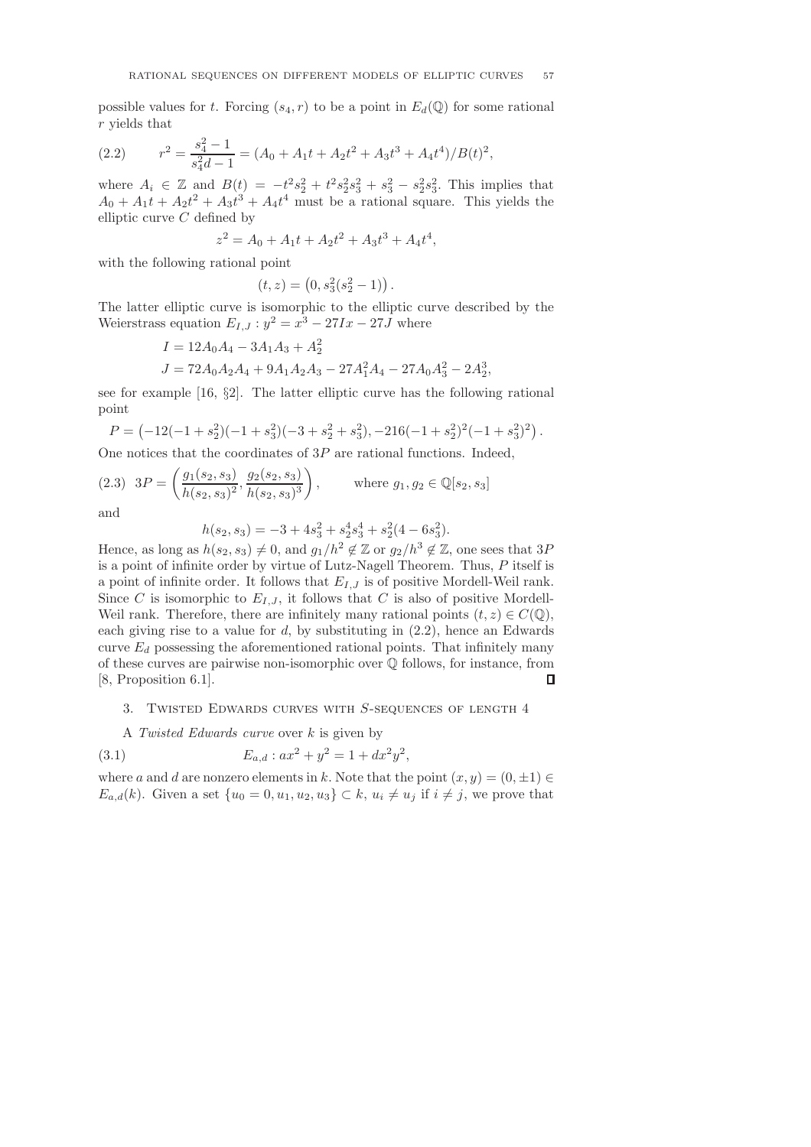possible values for t. Forcing  $(s_4, r)$  to be a point in  $E_d(\mathbb{Q})$  for some rational r yields that

(2.2) 
$$
r^2 = \frac{s_4^2 - 1}{s_4^2 d - 1} = (A_0 + A_1 t + A_2 t^2 + A_3 t^3 + A_4 t^4) / B(t)^2,
$$

where  $A_i \in \mathbb{Z}$  and  $B(t) = -t^2 s_2^2 + t^2 s_2^2 s_3^2 + s_3^2 - s_2^2 s_3^2$ . This implies that  $A_0 + A_1t + A_2t^2 + A_3t^3 + A_4t^4$  must be a rational square. This yields the elliptic curve  $C$  defined by

$$
z^2 = A_0 + A_1t + A_2t^2 + A_3t^3 + A_4t^4,
$$

with the following rational point

$$
(t, z) = (0, s_3^2(s_2^2 - 1)) .
$$

The latter elliptic curve is isomorphic to the elliptic curve described by the Weierstrass equation  $E_{I,J}: y^2 = x^3 - 27Ix - 27J$  where

$$
I = 12A_0A_4 - 3A_1A_3 + A_2^2
$$
  
\n
$$
J = 72A_0A_2A_4 + 9A_1A_2A_3 - 27A_1^2A_4 - 27A_0A_3^2 - 2A_2^3,
$$

see for example [16, §2]. The latter elliptic curve has the following rational point

$$
P = (-12(-1 + s22)(-1 + s32)(-3 + s22 + s32), -216(-1 + s22)2(-1 + s32)2).
$$

One notices that the coordinates of  $3P$  are rational functions. Indeed,

$$
(2.3) \quad 3P = \left(\frac{g_1(s_2, s_3)}{h(s_2, s_3)^2}, \frac{g_2(s_2, s_3)}{h(s_2, s_3)^3}\right), \qquad \text{where } g_1, g_2 \in \mathbb{Q}[s_2, s_3]
$$

and

$$
h(s_2, s_3) = -3 + 4s_3^2 + s_2^4s_3^4 + s_2^2(4 - 6s_3^2).
$$

Hence, as long as  $h(s_2, s_3) \neq 0$ , and  $g_1/h^2 \notin \mathbb{Z}$  or  $g_2/h^3 \notin \mathbb{Z}$ , one sees that 3P is a point of infinite order by virtue of Lutz-Nagell Theorem. Thus, P itself is a point of infinite order. It follows that  $E_{I,J}$  is of positive Mordell-Weil rank. Since C is isomorphic to  $E_{I,J}$ , it follows that C is also of positive Mordell-Weil rank. Therefore, there are infinitely many rational points  $(t, z) \in C(\mathbb{Q}),$ each giving rise to a value for  $d$ , by substituting in  $(2.2)$ , hence an Edwards curve  $E_d$  possessing the aforementioned rational points. That infinitely many of these curves are pairwise non-isomorphic over Q follows, for instance, from [8, Proposition 6.1].  $\Box$ 

## 3. Twisted Edwards curves with S-sequences of length 4

A Twisted Edwards curve over k is given by

(3.1) 
$$
E_{a,d}: ax^2 + y^2 = 1 + dx^2y^2,
$$

where a and d are nonzero elements in k. Note that the point  $(x, y) = (0, \pm 1) \in$  $E_{a,d}(k)$ . Given a set  $\{u_0 = 0, u_1, u_2, u_3\} \subset k$ ,  $u_i \neq u_j$  if  $i \neq j$ , we prove that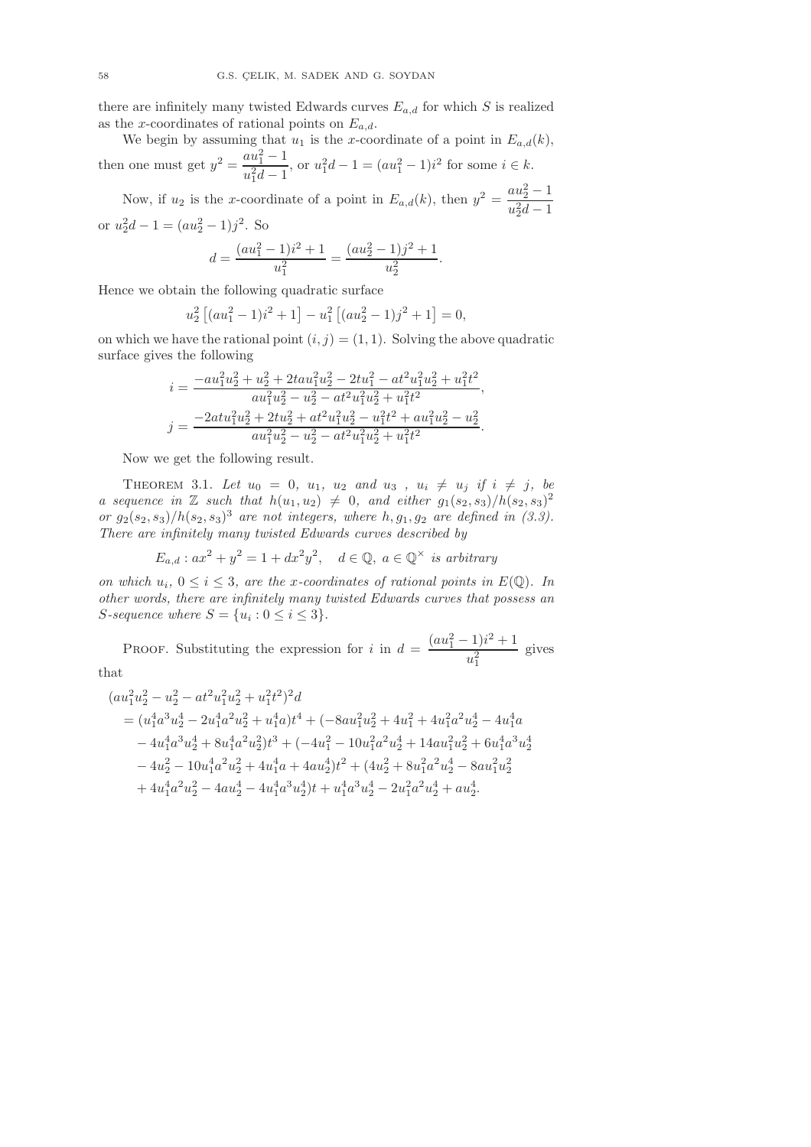there are infinitely many twisted Edwards curves  $E_{a,d}$  for which S is realized as the x-coordinates of rational points on  $E_{a,d}$ .

We begin by assuming that  $u_1$  is the x-coordinate of a point in  $E_{a,d}(k)$ , then one must get  $y^2 = \frac{au_1^2 - 1}{v_1^2 - 1}$  $u_{1}^{a}u_{1}^{1}$ , or  $u_{1}^{2}d-1 = (au_{1}^{2} - 1)i^{2}$  for some  $i \in k$ .

Now, if  $u_2$  is the x-coordinate of a point in  $E_{a,d}(k)$ , then  $y^2 = \frac{au_2^2 - 1}{a^2}$  $u_2^2d-1$ or  $u_2^2d - 1 = (au_2^2 - 1)j^2$ . So

$$
d = \frac{(au_1^2 - 1)i^2 + 1}{u_1^2} = \frac{(au_2^2 - 1)j^2 + 1}{u_2^2}
$$

.

Hence we obtain the following quadratic surface

$$
u_2^2 [(au_1^2 - 1)i^2 + 1] - u_1^2 [(au_2^2 - 1)j^2 + 1] = 0,
$$

on which we have the rational point  $(i, j) = (1, 1)$ . Solving the above quadratic surface gives the following

$$
i = \frac{-au_1^2u_2^2 + u_2^2 + 2tau_1^2u_2^2 - 2tu_1^2 - at^2u_1^2u_2^2 + u_1^2t^2}{au_1^2u_2^2 - u_2^2 - at^2u_1^2u_2^2 + u_1^2t^2},
$$
  
\n
$$
j = \frac{-2atu_1^2u_2^2 + 2tu_2^2 + at^2u_1^2u_2^2 - u_1^2t^2 + au_1^2u_2^2 - u_2^2}{au_1^2u_2^2 - u_2^2 - at^2u_1^2u_2^2 + u_1^2t^2}.
$$

Now we get the following result.

THEOREM 3.1. Let  $u_0 = 0$ ,  $u_1$ ,  $u_2$  and  $u_3$ ,  $u_i \neq u_j$  if  $i \neq j$ , be a sequence in  $\mathbb Z$  such that  $h(u_1, u_2) \neq 0$ , and either  $g_1(s_2, s_3)/h(s_2, s_3)^2$ or  $g_2(s_2, s_3)/h(s_2, s_3)^3$  are not integers, where  $h, g_1, g_2$  are defined in (3.3). There are infinitely many twisted Edwards curves described by

$$
E_{a,d}: ax^2 + y^2 = 1 + dx^2y^2, \quad d \in \mathbb{Q}, \ a \in \mathbb{Q}^\times \ \text{is arbitrary}
$$

on which  $u_i$ ,  $0 \le i \le 3$ , are the x-coordinates of rational points in  $E(\mathbb{Q})$ . In other words, there are infinitely many twisted Edwards curves that possess an  $S\text{-}sequence where  $S = \{u_i : 0 \leq i \leq 3\}$ .$ 

**PROOF.** Substituting the expression for i in  $d = \frac{(au_1^2 - 1)i^2 + 1}{2}$  $u_1^2$ gives that

$$
\begin{aligned} (au_1^2u_2^2-u_2^2-at^2u_1^2u_2^2+u_1^2t^2)^2d\\ &=(u_1^4a^3u_2^4-2u_1^4a^2u_2^2+u_1^4a)t^4+(-8au_1^2u_2^2+4u_1^2+4u_1^2a^2u_2^4-4u_1^4a\\ &-4u_1^4a^3u_2^4+8u_1^4a^2u_2^2)t^3+(-4u_1^2-10u_1^2a^2u_2^4+14au_1^2u_2^2+6u_1^4a^3u_2^4\\ &-4u_2^2-10u_1^4a^2u_2^2+4u_1^4a+4au_2^4)t^2+(4u_2^2+8u_1^2a^2u_2^4-8au_1^2u_2^2\\ &+4u_1^4a^2u_2^2-4au_2^4-4u_1^4a^3u_2^4)t+u_1^4a^3u_2^4-2u_1^2a^2u_2^4+au_2^4. \end{aligned}
$$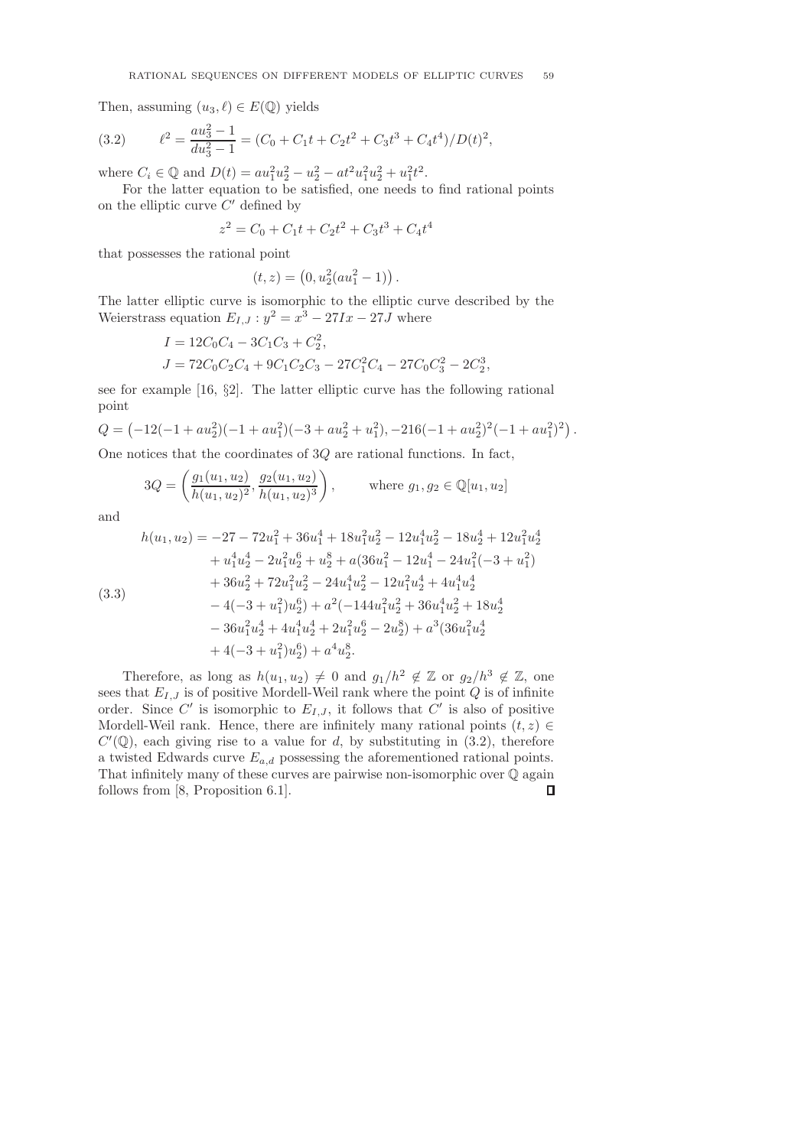Then, assuming  $(u_3, \ell) \in E(\mathbb{Q})$  yields

(3.2) 
$$
\ell^2 = \frac{au_3^2 - 1}{du_3^2 - 1} = (C_0 + C_1t + C_2t^2 + C_3t^3 + C_4t^4)/D(t)^2,
$$

where  $C_i \in \mathbb{Q}$  and  $D(t) = au_1^2u_2^2 - u_2^2 - at^2u_1^2u_2^2 + u_1^2t^2$ .

For the latter equation to be satisfied, one needs to find rational points on the elliptic curve  $C'$  defined by

$$
z^2 = C_0 + C_1t + C_2t^2 + C_3t^3 + C_4t^4
$$

that possesses the rational point

$$
(t,z) = (0, u_2^2(au_1^2 - 1)) .
$$

The latter elliptic curve is isomorphic to the elliptic curve described by the Weierstrass equation  $E_{I,J}: y^2 = x^3 - 27Ix - 27J$  where

$$
I = 12C_0C_4 - 3C_1C_3 + C_2^2,
$$
  
\n
$$
J = 72C_0C_2C_4 + 9C_1C_2C_3 - 27C_1^2C_4 - 27C_0C_3^2 - 2C_2^3,
$$

see for example [16, §2]. The latter elliptic curve has the following rational point

$$
Q = \left(-12(-1 + au_2^2)(-1 + au_1^2)(-3 + au_2^2 + u_1^2), -216(-1 + au_2^2)^2(-1 + au_1^2)^2\right).
$$

One notices that the coordinates of  $3Q$  are rational functions. In fact,

$$
3Q = \left(\frac{g_1(u_1, u_2)}{h(u_1, u_2)^2}, \frac{g_2(u_1, u_2)}{h(u_1, u_2)^3}\right), \quad \text{where } g_1, g_2 \in \mathbb{Q}[u_1, u_2]
$$

and

$$
h(u_1, u_2) = -27 - 72u_1^2 + 36u_1^4 + 18u_1^2u_2^2 - 12u_1^4u_2^2 - 18u_2^4 + 12u_1^2u_2^4
$$
  
\n
$$
+ u_1^4u_2^4 - 2u_1^2u_2^6 + u_2^8 + a(36u_1^2 - 12u_1^4 - 24u_1^2(-3 + u_1^2)
$$
  
\n
$$
+ 36u_2^2 + 72u_1^2u_2^2 - 24u_1^4u_2^2 - 12u_1^2u_2^4 + 4u_1^4u_2^4
$$
  
\n
$$
- 4(-3 + u_1^2)u_2^6) + a^2(-144u_1^2u_2^2 + 36u_1^4u_2^2 + 18u_2^4
$$
  
\n
$$
- 36u_1^2u_2^4 + 4u_1^4u_2^4 + 2u_1^2u_2^6 - 2u_2^8) + a^3(36u_1^2u_2^4 + 4(-3 + u_1^2)u_2^6) + a^4u_2^8.
$$

Therefore, as long as  $h(u_1, u_2) \neq 0$  and  $g_1/h^2 \notin \mathbb{Z}$  or  $g_2/h^3 \notin \mathbb{Z}$ , one sees that  $E_{I,J}$  is of positive Mordell-Weil rank where the point Q is of infinite order. Since C' is isomorphic to  $E_{I,J}$ , it follows that C' is also of positive Mordell-Weil rank. Hence, there are infinitely many rational points  $(t, z) \in$  $C'(\mathbb{Q})$ , each giving rise to a value for d, by substituting in  $(3.2)$ , therefore a twisted Edwards curve  $E_{a,d}$  possessing the aforementioned rational points. That infinitely many of these curves are pairwise non-isomorphic over Q again follows from [8, Proposition 6.1]. $\Box$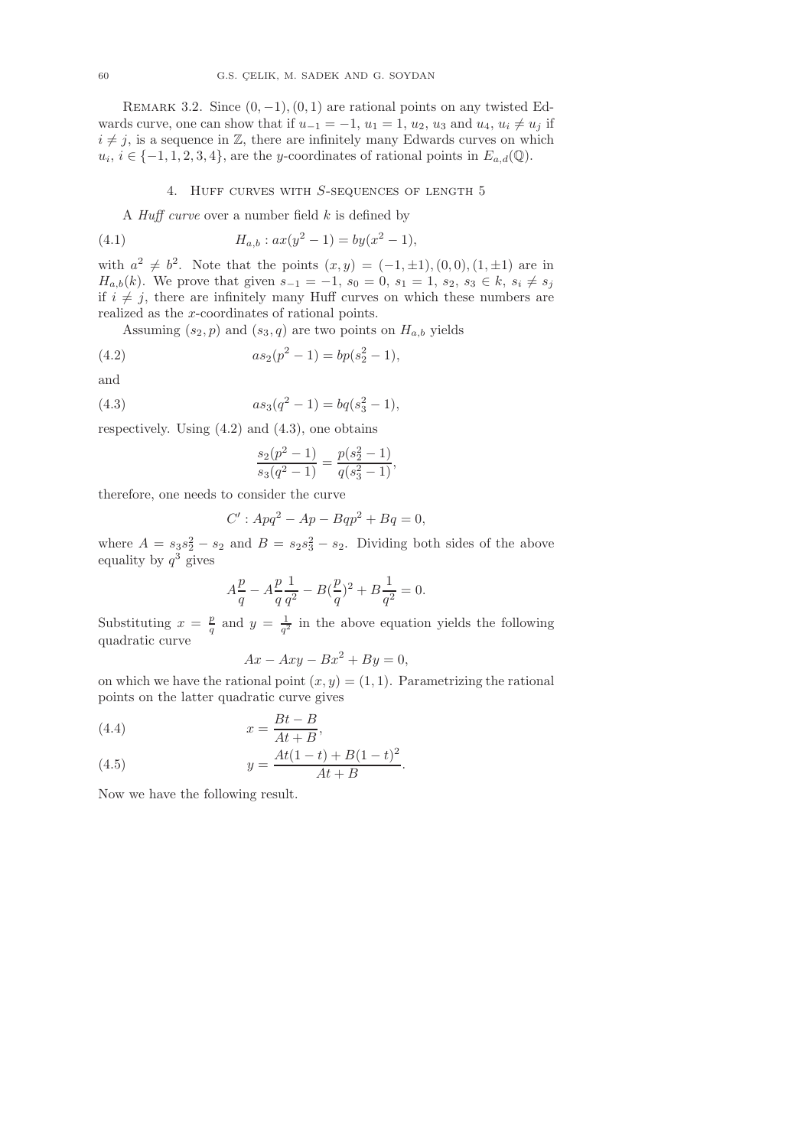REMARK 3.2. Since  $(0, -1)$ ,  $(0, 1)$  are rational points on any twisted Edwards curve, one can show that if  $u_{-1} = -1$ ,  $u_1 = 1$ ,  $u_2$ ,  $u_3$  and  $u_4$ ,  $u_i \neq u_j$  if  $i \neq j$ , is a sequence in Z, there are infinitely many Edwards curves on which  $u_i, i \in \{-1, 1, 2, 3, 4\}$ , are the y-coordinates of rational points in  $E_{a,d}(\mathbb{Q})$ .

### 4. HUFF CURVES WITH  $S$ -SEQUENCES OF LENGTH  $5$

A *Huff curve* over a number field  $k$  is defined by

(4.1) 
$$
H_{a,b}: ax(y^2 - 1) = by(x^2 - 1),
$$

with  $a^2 \neq b^2$ . Note that the points  $(x, y) = (-1, \pm 1), (0, 0), (1, \pm 1)$  are in  $H_{a,b}(k)$ . We prove that given  $s_{-1} = -1$ ,  $s_0 = 0$ ,  $s_1 = 1$ ,  $s_2$ ,  $s_3 \in k$ ,  $s_i \neq s_j$ if  $i \neq j$ , there are infinitely many Huff curves on which these numbers are realized as the x-coordinates of rational points.

Assuming  $(s_2, p)$  and  $(s_3, q)$  are two points on  $H_{a,b}$  yields

(4.2) 
$$
as_2(p^2 - 1) = bp(s_2^2 - 1),
$$

and

(4.3) 
$$
as_3(q^2 - 1) = bq(s_3^2 - 1),
$$

respectively. Using  $(4.2)$  and  $(4.3)$ , one obtains

$$
\frac{s_2(p^2-1)}{s_3(q^2-1)} = \frac{p(s_2^2-1)}{q(s_3^2-1)},
$$

therefore, one needs to consider the curve

$$
C': Apq^2 - Ap - Bqp^2 + Bq = 0,
$$

where  $A = s_3 s_2^2 - s_2$  and  $B = s_2 s_3^2 - s_2$ . Dividing both sides of the above equality by  $q^3$  gives

$$
A\frac{p}{q} - A\frac{p}{q}\frac{1}{q^2} - B(\frac{p}{q})^2 + B\frac{1}{q^2} = 0.
$$

Substituting  $x = \frac{p}{q}$  and  $y = \frac{1}{q^2}$  in the above equation yields the following quadratic curve

$$
Ax - Axy - Bx^2 + By = 0,
$$

on which we have the rational point  $(x, y) = (1, 1)$ . Parametrizing the rational points on the latter quadratic curve gives

(4.4) 
$$
x = \frac{Bt - B}{At + B},
$$

(4.5) 
$$
y = \frac{At(1-t) + B(1-t)^2}{At+B}.
$$

Now we have the following result.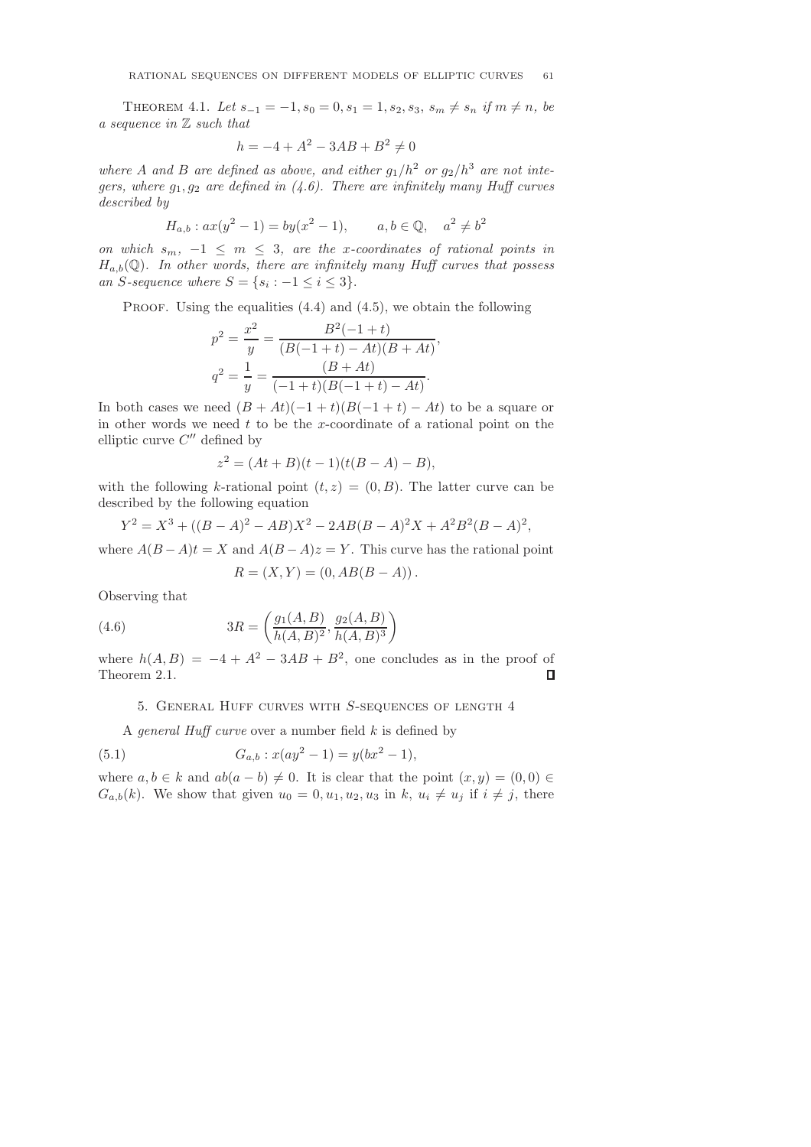THEOREM 4.1. Let  $s_{-1} = -1$ ,  $s_0 = 0$ ,  $s_1 = 1$ ,  $s_2$ ,  $s_3$ ,  $s_m \neq s_n$  if  $m \neq n$ , be a sequence in Z such that

$$
h = -4 + A^2 - 3AB + B^2 \neq 0
$$

where A and B are defined as above, and either  $g_1/h^2$  or  $g_2/h^3$  are not integers, where  $g_1, g_2$  are defined in (4.6). There are infinitely many Huff curves described by

$$
H_{a,b}: ax(y^2 - 1) = by(x^2 - 1), \qquad a, b \in \mathbb{Q}, \quad a^2 \neq b^2
$$

on which  $s_m$ ,  $-1 \leq m \leq 3$ , are the x-coordinates of rational points in  $H_{a,b}(\mathbb{Q})$ . In other words, there are infinitely many Huff curves that possess an S-sequence where  $S = \{s_i : -1 \leq i \leq 3\}.$ 

PROOF. Using the equalities  $(4.4)$  and  $(4.5)$ , we obtain the following

$$
p^{2} = \frac{x^{2}}{y} = \frac{B^{2}(-1+t)}{(B(-1+t) - At)(B+At)},
$$

$$
q^{2} = \frac{1}{y} = \frac{(B+At)}{(-1+t)(B(-1+t) - At)}.
$$

In both cases we need  $(B + At)(-1 + t)(B(-1 + t) - At)$  to be a square or in other words we need  $t$  to be the x-coordinate of a rational point on the elliptic curve  $C''$  defined by

$$
z^{2} = (At + B)(t - 1)(t(B - A) - B),
$$

with the following k-rational point  $(t, z) = (0, B)$ . The latter curve can be described by the following equation

$$
Y^{2} = X^{3} + ((B - A)^{2} - AB)X^{2} - 2AB(B - A)^{2}X + A^{2}B^{2}(B - A)^{2},
$$

where  $A(B - A)t = X$  and  $A(B - A)z = Y$ . This curve has the rational point

$$
R = (X, Y) = (0, AB(B - A)).
$$

Observing that

(4.6) 
$$
3R = \left(\frac{g_1(A, B)}{h(A, B)^2}, \frac{g_2(A, B)}{h(A, B)^3}\right)
$$

where  $h(A, B) = -4 + A^2 - 3AB + B^2$ , one concludes as in the proof of Theorem 2.1. п

### 5. General Huff curves with S-sequences of length 4

A *general Huff curve* over a number field  $k$  is defined by

(5.1) 
$$
G_{a,b}: x(ay^2 - 1) = y(bx^2 - 1),
$$

where  $a, b \in k$  and  $ab(a - b) \neq 0$ . It is clear that the point  $(x, y) = (0, 0) \in$  $G_{a,b}(k)$ . We show that given  $u_0 = 0, u_1, u_2, u_3$  in  $k, u_i \neq u_j$  if  $i \neq j$ , there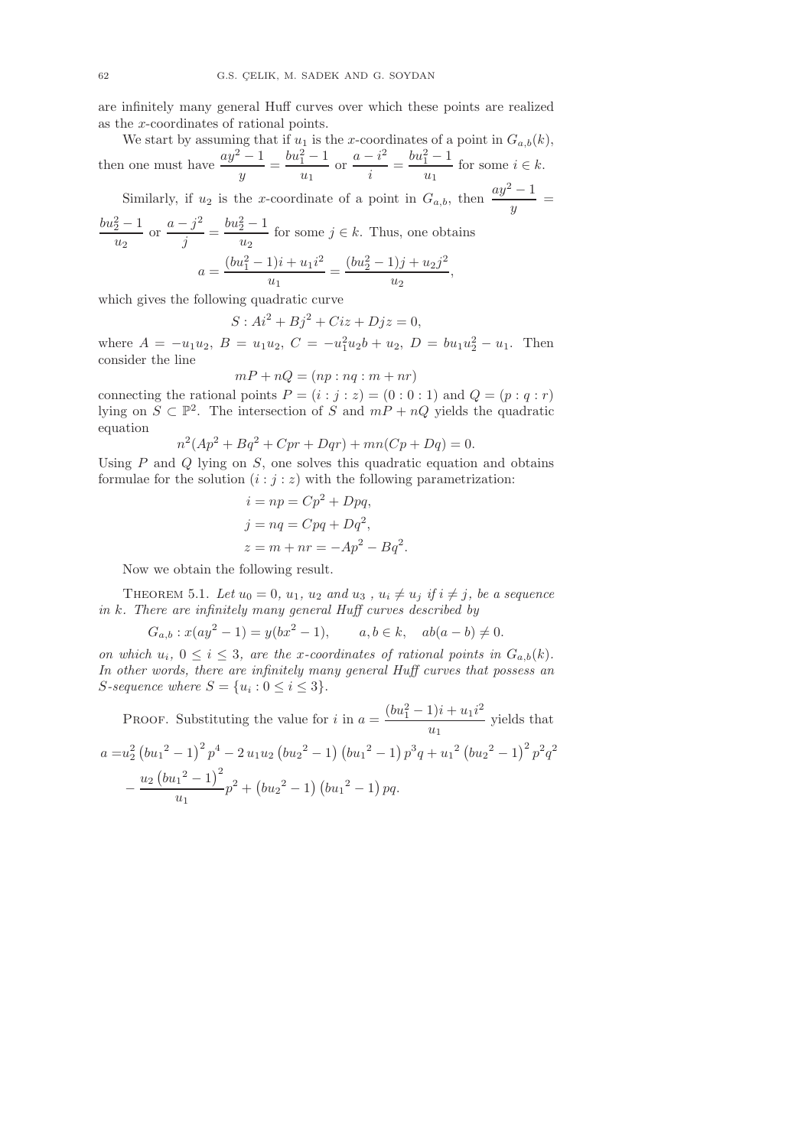are infinitely many general Huff curves over which these points are realized as the x-coordinates of rational points.

We start by assuming that if  $u_1$  is the x-coordinates of a point in  $G_{a,b}(k)$ , then one must have  $\frac{ay^2-1}{y} = \frac{bu_1^2-1}{u_1}$  $\frac{2}{u_1} - 1$  or  $\frac{a - i^2}{i}$  $\frac{-i^2}{i} = \frac{bu_1^2 - 1}{u_1}$  $\frac{1}{u_1}$  for some  $i \in k$ . Similarly, if  $u_2$  is the x-coordinate of a point in  $G_{a,b}$ , then  $\frac{ay^2-1}{y}$  =  $bu_2^2-1$  $rac{2}{u_2} - 1$  or  $rac{a - j^2}{j}$  $\frac{(-j)^2}{j} = \frac{bu_2^2 - 1}{u_2}$  $\frac{2}{u_2}$  for some  $j \in k$ . Thus, one obtains

$$
a = \frac{(bu_1^2 - 1)i + u_1i^2}{u_1} = \frac{(bu_2^2 - 1)j + u_2j^2}{u_2},
$$

which gives the following quadratic curve

$$
S: Ai2 + Bj2 + Ciz + Djz = 0,
$$

where  $A = -u_1u_2$ ,  $B = u_1u_2$ ,  $C = -u_1^2u_2b + u_2$ ,  $D = bu_1u_2^2 - u_1$ . Then consider the line

$$
mP + nQ = (np : nq : m + nr)
$$

connecting the rational points  $P = (i : j : z) = (0 : 0 : 1)$  and  $Q = (p : q : r)$ lying on  $S \subset \mathbb{P}^2$ . The intersection of S and  $mP + nQ$  yields the quadratic equation

$$
n^2(Ap^2 + Bq^2 + Cpr + Dqr) + mn(Cp + Dq) = 0.
$$

Using  $P$  and  $Q$  lying on  $S$ , one solves this quadratic equation and obtains formulae for the solution  $(i : j : z)$  with the following parametrization:

$$
i = np = Cp2 + Dpq,
$$
  
\n
$$
j = nq = Cpq + Dq2,
$$
  
\n
$$
z = m + nr = -Ap2 - Bq2.
$$

Now we obtain the following result.

THEOREM 5.1. Let  $u_0 = 0$ ,  $u_1$ ,  $u_2$  and  $u_3$ ,  $u_i \neq u_j$  if  $i \neq j$ , be a sequence in k. There are infinitely many general Huff curves described by

$$
G_{a,b}: x(ay^2 - 1) = y(bx^2 - 1), \qquad a, b \in k, \quad ab(a - b) \neq 0.
$$

on which  $u_i$ ,  $0 \le i \le 3$ , are the x-coordinates of rational points in  $G_{a,b}(k)$ . In other words, there are infinitely many general Huff curves that possess an  $S\text{-}sequence where  $S = \{u_i : 0 \leq i \leq 3\}$ .$ 

PROOF. Substituting the value for *i* in 
$$
a = \frac{(bu_1^2 - 1)i + u_1i^2}{u_1}
$$
 yields that  
\n
$$
a = u_2^2 (bu_1^2 - 1)^2 p^4 - 2 u_1 u_2 (bu_2^2 - 1) (bu_1^2 - 1) p^3 q + u_1^2 (bu_2^2 - 1)^2 p^2 q^2 - \frac{u_2 (bu_1^2 - 1)^2}{u_1} p^2 + (bu_2^2 - 1) (bu_1^2 - 1) pq.
$$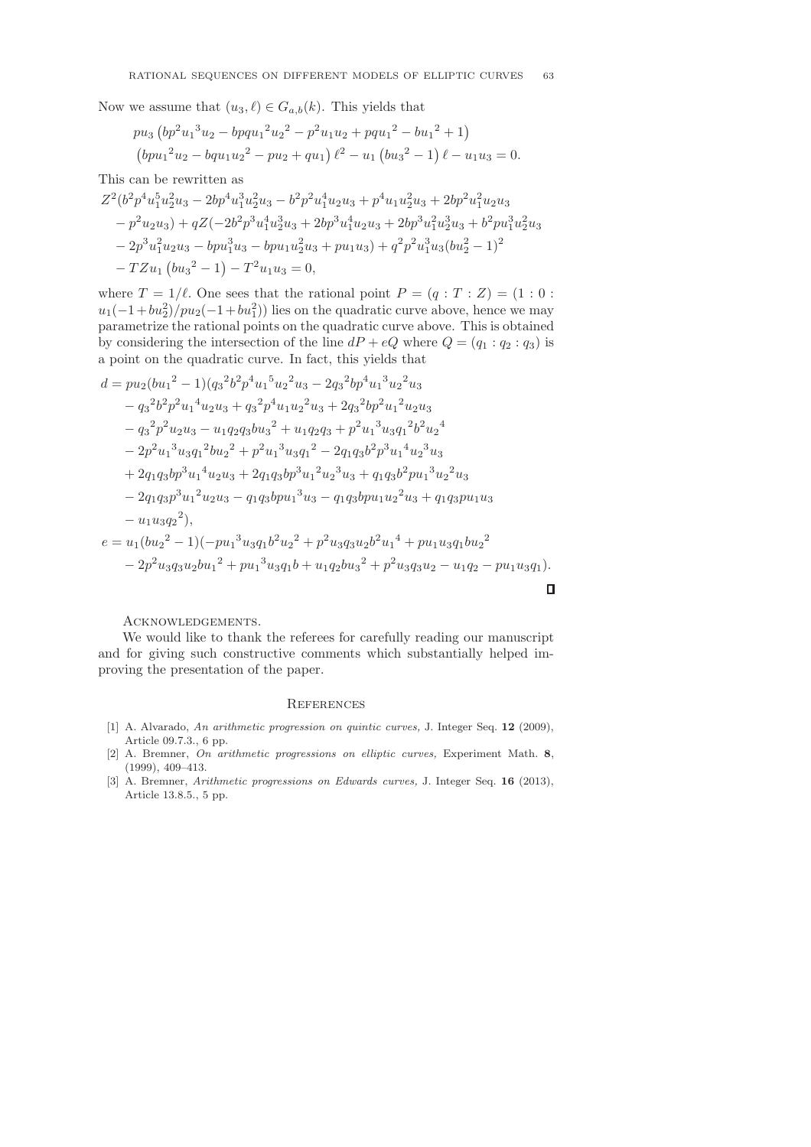Now we assume that  $(u_3, \ell) \in G_{a,b}(k)$ . This yields that

$$
pu_3 (bp^2u_1^3u_2 - bpqu_1^2u_2^2 - p^2u_1u_2 + pqu_1^2 - bu_1^2 + 1)
$$
  
\n
$$
(bpu_1^2u_2 - bqu_1u_2^2 - pu_2 + qu_1) \ell^2 - u_1 (bu_3^2 - 1) \ell - u_1u_3 = 0.
$$

This can be rewritten as

$$
Z^{2}(b^{2}p^{4}u_{1}^{5}u_{2}^{2}u_{3} - 2bp^{4}u_{1}^{3}u_{2}^{2}u_{3} - b^{2}p^{2}u_{1}^{4}u_{2}u_{3} + p^{4}u_{1}u_{2}^{2}u_{3} + 2bp^{2}u_{1}^{2}u_{2}u_{3}
$$
  
\n
$$
-p^{2}u_{2}u_{3}) + qZ(-2b^{2}p^{3}u_{1}^{4}u_{2}^{3}u_{3} + 2bp^{3}u_{1}^{4}u_{2}u_{3} + 2bp^{3}u_{1}^{2}u_{2}^{3}u_{3} + b^{2}pu_{1}^{3}u_{2}^{2}u_{3}
$$
  
\n
$$
-2p^{3}u_{1}^{2}u_{2}u_{3} - bpu_{1}^{3}u_{3} - bpu_{1}u_{2}^{2}u_{3} + pu_{1}u_{3}) + q^{2}p^{2}u_{1}^{3}u_{3}(bu_{2}^{2} - 1)^{2}
$$
  
\n
$$
-TZu_{1}(bu_{3}^{2} - 1) - T^{2}u_{1}u_{3} = 0,
$$

where  $T = 1/\ell$ . One sees that the rational point  $P = (q : T : Z) = (1 : 0 :$  $u_1(-1+bu_2^2)/pu_2(-1+bu_1^2)$ ) lies on the quadratic curve above, hence we may parametrize the rational points on the quadratic curve above. This is obtained by considering the intersection of the line  $dP + eQ$  where  $Q = (q_1 : q_2 : q_3)$  is a point on the quadratic curve. In fact, this yields that

$$
d = pu_2(bu_1^2 - 1)(q_3^2b^2p^4u_1^5u_2^2u_3 - 2q_3^2bp^4u_1^3u_2^2u_3
$$
  
\n
$$
- q_3^2b^2p^2u_1^4u_2u_3 + q_3^2p^4u_1u_2^2u_3 + 2q_3^2bp^2u_1^2u_2u_3
$$
  
\n
$$
- q_3^2p^2u_2u_3 - u_1q_2q_3bu_3^2 + u_1q_2q_3 + p^2u_1^3u_3q_1^2b^2u_2^4
$$
  
\n
$$
- 2p^2u_1^3u_3q_1^2bu_2^2 + p^2u_1^3u_3q_1^2 - 2q_1q_3b^2p^3u_1^4u_2^3u_3
$$
  
\n
$$
+ 2q_1q_3bp^3u_1^4u_2u_3 + 2q_1q_3bp^3u_1^2u_2^3u_3 + q_1q_3b^2pu_1^3u_2^2u_3
$$
  
\n
$$
- 2q_1q_3p^3u_1^2u_2u_3 - q_1q_3bpu_1^3u_3 - q_1q_3bpu_1u_2^2u_3 + q_1q_3pu_1u_3
$$
  
\n
$$
- u_1u_3q_2^2),
$$
  
\n
$$
e = u_1(bu_2^2 - 1)(-pu_1^3u_3q_1b^2u_2^2 + p^2u_3q_3u_2b^2u_1^4 + pu_1u_3q_1bu_2^2
$$
  
\n
$$
- 2p^2u_3q_3u_2bu_1^2 + pu_1^3u_3q_1b + u_1q_2bu_3^2 + p^2u_3q_3u_2 - u_1q_2 - pu_1u_3q_1).
$$

Acknowledgements.

We would like to thank the referees for carefully reading our manuscript and for giving such constructive comments which substantially helped improving the presentation of the paper.

 $\Box$ 

#### **REFERENCES**

- [1] A. Alvarado, An arithmetic progression on quintic curves, J. Integer Seq. 12 (2009), Article 09.7.3., 6 pp.
- [2] A. Bremner, On arithmetic progressions on elliptic curves, Experiment Math. 8, (1999), 409–413.
- [3] A. Bremner, Arithmetic progressions on Edwards curves, J. Integer Seq. 16 (2013), Article 13.8.5., 5 pp.